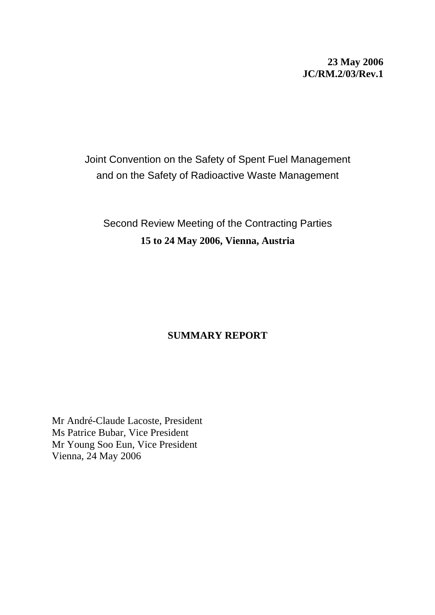# **23 May 2006 JC/RM.2/03/Rev.1**

# Joint Convention on the Safety of Spent Fuel Management and on the Safety of Radioactive Waste Management

# Second Review Meeting of the Contracting Parties **15 to 24 May 2006, Vienna, Austria**

# **SUMMARY REPORT**

Mr André-Claude Lacoste, President Ms Patrice Bubar, Vice President Mr Young Soo Eun, Vice President Vienna, 24 May 2006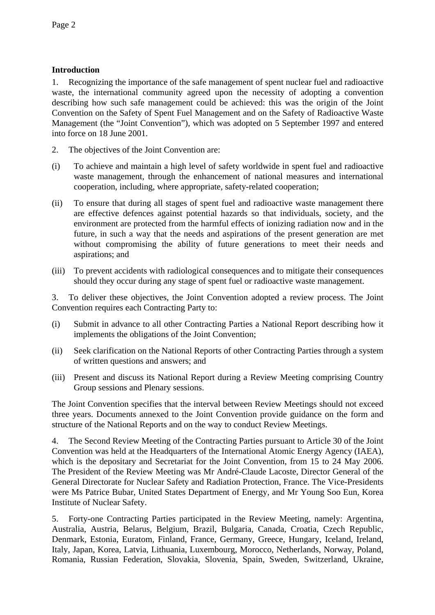# **Introduction**

1. Recognizing the importance of the safe management of spent nuclear fuel and radioactive waste, the international community agreed upon the necessity of adopting a convention describing how such safe management could be achieved: this was the origin of the Joint Convention on the Safety of Spent Fuel Management and on the Safety of Radioactive Waste Management (the "Joint Convention"), which was adopted on 5 September 1997 and entered into force on 18 June 2001.

- 2. The objectives of the Joint Convention are:
- (i) To achieve and maintain a high level of safety worldwide in spent fuel and radioactive waste management, through the enhancement of national measures and international cooperation, including, where appropriate, safety-related cooperation;
- (ii) To ensure that during all stages of spent fuel and radioactive waste management there are effective defences against potential hazards so that individuals, society, and the environment are protected from the harmful effects of ionizing radiation now and in the future, in such a way that the needs and aspirations of the present generation are met without compromising the ability of future generations to meet their needs and aspirations; and
- (iii) To prevent accidents with radiological consequences and to mitigate their consequences should they occur during any stage of spent fuel or radioactive waste management.

3. To deliver these objectives, the Joint Convention adopted a review process. The Joint Convention requires each Contracting Party to:

- (i) Submit in advance to all other Contracting Parties a National Report describing how it implements the obligations of the Joint Convention;
- (ii) Seek clarification on the National Reports of other Contracting Parties through a system of written questions and answers; and
- (iii) Present and discuss its National Report during a Review Meeting comprising Country Group sessions and Plenary sessions.

The Joint Convention specifies that the interval between Review Meetings should not exceed three years. Documents annexed to the Joint Convention provide guidance on the form and structure of the National Reports and on the way to conduct Review Meetings.

4. The Second Review Meeting of the Contracting Parties pursuant to Article 30 of the Joint Convention was held at the Headquarters of the International Atomic Energy Agency (IAEA), which is the depositary and Secretariat for the Joint Convention, from 15 to 24 May 2006. The President of the Review Meeting was Mr André-Claude Lacoste, Director General of the General Directorate for Nuclear Safety and Radiation Protection, France. The Vice-Presidents were Ms Patrice Bubar, United States Department of Energy, and Mr Young Soo Eun, Korea Institute of Nuclear Safety.

5. Forty-one Contracting Parties participated in the Review Meeting, namely: Argentina, Australia, Austria, Belarus, Belgium, Brazil, Bulgaria, Canada, Croatia, Czech Republic, Denmark, Estonia, Euratom, Finland, France, Germany, Greece, Hungary, Iceland, Ireland, Italy, Japan, Korea, Latvia, Lithuania, Luxembourg, Morocco, Netherlands, Norway, Poland, Romania, Russian Federation, Slovakia, Slovenia, Spain, Sweden, Switzerland, Ukraine,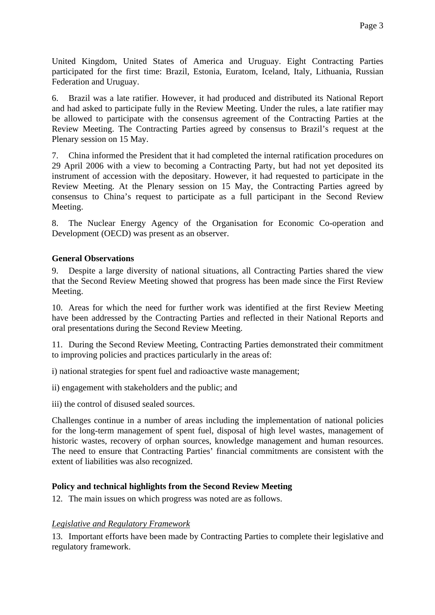United Kingdom, United States of America and Uruguay. Eight Contracting Parties participated for the first time: Brazil, Estonia, Euratom, Iceland, Italy, Lithuania, Russian Federation and Uruguay.

6. Brazil was a late ratifier. However, it had produced and distributed its National Report and had asked to participate fully in the Review Meeting. Under the rules, a late ratifier may be allowed to participate with the consensus agreement of the Contracting Parties at the Review Meeting. The Contracting Parties agreed by consensus to Brazil's request at the Plenary session on 15 May.

7. China informed the President that it had completed the internal ratification procedures on 29 April 2006 with a view to becoming a Contracting Party, but had not yet deposited its instrument of accession with the depositary. However, it had requested to participate in the Review Meeting. At the Plenary session on 15 May, the Contracting Parties agreed by consensus to China's request to participate as a full participant in the Second Review Meeting.

8. The Nuclear Energy Agency of the Organisation for Economic Co-operation and Development (OECD) was present as an observer.

#### **General Observations**

9. Despite a large diversity of national situations, all Contracting Parties shared the view that the Second Review Meeting showed that progress has been made since the First Review Meeting.

10. Areas for which the need for further work was identified at the first Review Meeting have been addressed by the Contracting Parties and reflected in their National Reports and oral presentations during the Second Review Meeting.

11. During the Second Review Meeting, Contracting Parties demonstrated their commitment to improving policies and practices particularly in the areas of:

i) national strategies for spent fuel and radioactive waste management;

ii) engagement with stakeholders and the public; and

iii) the control of disused sealed sources.

Challenges continue in a number of areas including the implementation of national policies for the long-term management of spent fuel, disposal of high level wastes, management of historic wastes, recovery of orphan sources, knowledge management and human resources. The need to ensure that Contracting Parties' financial commitments are consistent with the extent of liabilities was also recognized.

# **Policy and technical highlights from the Second Review Meeting**

12. The main issues on which progress was noted are as follows.

# *Legislative and Regulatory Framework*

13. Important efforts have been made by Contracting Parties to complete their legislative and regulatory framework.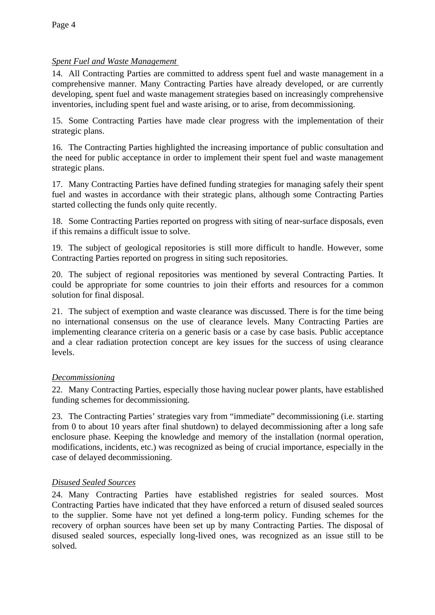# *Spent Fuel and Waste Management*

14. All Contracting Parties are committed to address spent fuel and waste management in a comprehensive manner. Many Contracting Parties have already developed, or are currently developing, spent fuel and waste management strategies based on increasingly comprehensive inventories, including spent fuel and waste arising, or to arise, from decommissioning.

15. Some Contracting Parties have made clear progress with the implementation of their strategic plans.

16. The Contracting Parties highlighted the increasing importance of public consultation and the need for public acceptance in order to implement their spent fuel and waste management strategic plans.

17. Many Contracting Parties have defined funding strategies for managing safely their spent fuel and wastes in accordance with their strategic plans, although some Contracting Parties started collecting the funds only quite recently.

18. Some Contracting Parties reported on progress with siting of near-surface disposals, even if this remains a difficult issue to solve.

19. The subject of geological repositories is still more difficult to handle. However, some Contracting Parties reported on progress in siting such repositories.

20. The subject of regional repositories was mentioned by several Contracting Parties. It could be appropriate for some countries to join their efforts and resources for a common solution for final disposal.

21. The subject of exemption and waste clearance was discussed. There is for the time being no international consensus on the use of clearance levels. Many Contracting Parties are implementing clearance criteria on a generic basis or a case by case basis. Public acceptance and a clear radiation protection concept are key issues for the success of using clearance levels.

#### *Decommissioning*

22. Many Contracting Parties, especially those having nuclear power plants, have established funding schemes for decommissioning.

23. The Contracting Parties' strategies vary from "immediate" decommissioning (i.e. starting from 0 to about 10 years after final shutdown) to delayed decommissioning after a long safe enclosure phase. Keeping the knowledge and memory of the installation (normal operation, modifications, incidents, etc.) was recognized as being of crucial importance, especially in the case of delayed decommissioning.

# *Disused Sealed Sources*

24. Many Contracting Parties have established registries for sealed sources. Most Contracting Parties have indicated that they have enforced a return of disused sealed sources to the supplier. Some have not yet defined a long-term policy. Funding schemes for the recovery of orphan sources have been set up by many Contracting Parties. The disposal of disused sealed sources, especially long-lived ones, was recognized as an issue still to be solved.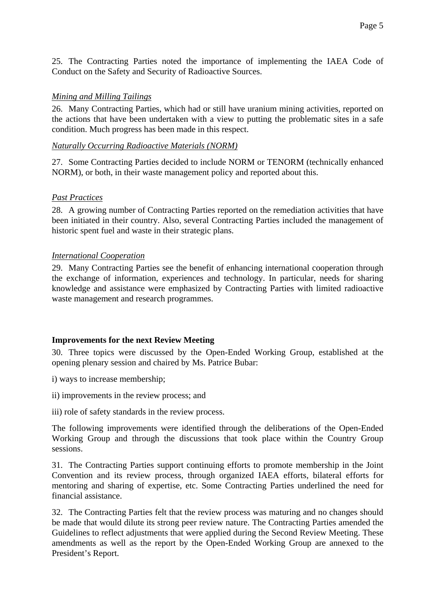25. The Contracting Parties noted the importance of implementing the IAEA Code of Conduct on the Safety and Security of Radioactive Sources.

#### *Mining and Milling Tailings*

26. Many Contracting Parties, which had or still have uranium mining activities, reported on the actions that have been undertaken with a view to putting the problematic sites in a safe condition. Much progress has been made in this respect.

#### *Naturally Occurring Radioactive Materials (NORM)*

27. Some Contracting Parties decided to include NORM or TENORM (technically enhanced NORM), or both, in their waste management policy and reported about this.

#### *Past Practices*

28. A growing number of Contracting Parties reported on the remediation activities that have been initiated in their country. Also, several Contracting Parties included the management of historic spent fuel and waste in their strategic plans.

#### *International Cooperation*

29. Many Contracting Parties see the benefit of enhancing international cooperation through the exchange of information, experiences and technology. In particular, needs for sharing knowledge and assistance were emphasized by Contracting Parties with limited radioactive waste management and research programmes.

# **Improvements for the next Review Meeting**

30. Three topics were discussed by the Open-Ended Working Group, established at the opening plenary session and chaired by Ms. Patrice Bubar:

- i) ways to increase membership;
- ii) improvements in the review process; and
- iii) role of safety standards in the review process.

The following improvements were identified through the deliberations of the Open-Ended Working Group and through the discussions that took place within the Country Group sessions.

31. The Contracting Parties support continuing efforts to promote membership in the Joint Convention and its review process, through organized IAEA efforts, bilateral efforts for mentoring and sharing of expertise, etc. Some Contracting Parties underlined the need for financial assistance.

32. The Contracting Parties felt that the review process was maturing and no changes should be made that would dilute its strong peer review nature. The Contracting Parties amended the Guidelines to reflect adjustments that were applied during the Second Review Meeting. These amendments as well as the report by the Open-Ended Working Group are annexed to the President's Report.